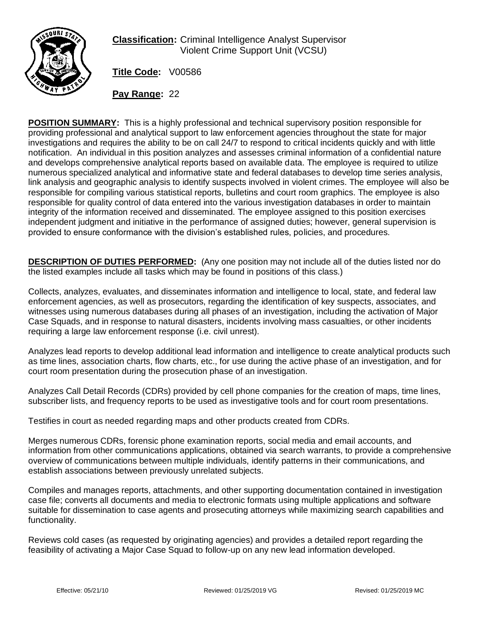

**Classification:** Criminal Intelligence Analyst Supervisor Violent Crime Support Unit (VCSU)

**Title Code:** V00586

**Pay Range:** 22

**POSITION SUMMARY:** This is a highly professional and technical supervisory position responsible for providing professional and analytical support to law enforcement agencies throughout the state for major investigations and requires the ability to be on call 24/7 to respond to critical incidents quickly and with little notification. An individual in this position analyzes and assesses criminal information of a confidential nature and develops comprehensive analytical reports based on available data. The employee is required to utilize numerous specialized analytical and informative state and federal databases to develop time series analysis, link analysis and geographic analysis to identify suspects involved in violent crimes. The employee will also be responsible for compiling various statistical reports, bulletins and court room graphics. The employee is also responsible for quality control of data entered into the various investigation databases in order to maintain integrity of the information received and disseminated. The employee assigned to this position exercises independent judgment and initiative in the performance of assigned duties; however, general supervision is provided to ensure conformance with the division's established rules, policies, and procedures.

**DESCRIPTION OF DUTIES PERFORMED:** (Any one position may not include all of the duties listed nor do the listed examples include all tasks which may be found in positions of this class.)

Collects, analyzes, evaluates, and disseminates information and intelligence to local, state, and federal law enforcement agencies, as well as prosecutors, regarding the identification of key suspects, associates, and witnesses using numerous databases during all phases of an investigation, including the activation of Major Case Squads, and in response to natural disasters, incidents involving mass casualties, or other incidents requiring a large law enforcement response (i.e. civil unrest).

Analyzes lead reports to develop additional lead information and intelligence to create analytical products such as time lines, association charts, flow charts, etc., for use during the active phase of an investigation, and for court room presentation during the prosecution phase of an investigation.

Analyzes Call Detail Records (CDRs) provided by cell phone companies for the creation of maps, time lines, subscriber lists, and frequency reports to be used as investigative tools and for court room presentations.

Testifies in court as needed regarding maps and other products created from CDRs.

Merges numerous CDRs, forensic phone examination reports, social media and email accounts, and information from other communications applications, obtained via search warrants, to provide a comprehensive overview of communications between multiple individuals, identify patterns in their communications, and establish associations between previously unrelated subjects.

Compiles and manages reports, attachments, and other supporting documentation contained in investigation case file; converts all documents and media to electronic formats using multiple applications and software suitable for dissemination to case agents and prosecuting attorneys while maximizing search capabilities and functionality.

Reviews cold cases (as requested by originating agencies) and provides a detailed report regarding the feasibility of activating a Major Case Squad to follow-up on any new lead information developed.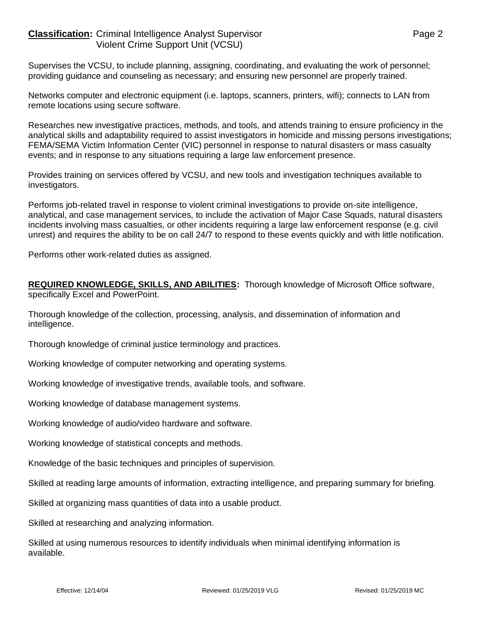## **Classification:** Criminal Intelligence Analyst Supervisor **Page 2** Page 2 Violent Crime Support Unit (VCSU)

Supervises the VCSU, to include planning, assigning, coordinating, and evaluating the work of personnel; providing guidance and counseling as necessary; and ensuring new personnel are properly trained.

Networks computer and electronic equipment (i.e. laptops, scanners, printers, wifi); connects to LAN from remote locations using secure software.

Researches new investigative practices, methods, and tools, and attends training to ensure proficiency in the analytical skills and adaptability required to assist investigators in homicide and missing persons investigations; FEMA/SEMA Victim Information Center (VIC) personnel in response to natural disasters or mass casualty events; and in response to any situations requiring a large law enforcement presence.

Provides training on services offered by VCSU, and new tools and investigation techniques available to investigators.

Performs job-related travel in response to violent criminal investigations to provide on-site intelligence, analytical, and case management services, to include the activation of Major Case Squads, natural disasters incidents involving mass casualties, or other incidents requiring a large law enforcement response (e.g. civil unrest) and requires the ability to be on call 24/7 to respond to these events quickly and with little notification.

Performs other work-related duties as assigned.

**REQUIRED KNOWLEDGE, SKILLS, AND ABILITIES:** Thorough knowledge of Microsoft Office software, specifically Excel and PowerPoint.

Thorough knowledge of the collection, processing, analysis, and dissemination of information and intelligence.

Thorough knowledge of criminal justice terminology and practices.

Working knowledge of computer networking and operating systems.

Working knowledge of investigative trends, available tools, and software.

Working knowledge of database management systems.

Working knowledge of audio/video hardware and software.

Working knowledge of statistical concepts and methods.

Knowledge of the basic techniques and principles of supervision.

Skilled at reading large amounts of information, extracting intelligence, and preparing summary for briefing.

Skilled at organizing mass quantities of data into a usable product.

Skilled at researching and analyzing information.

Skilled at using numerous resources to identify individuals when minimal identifying information is available.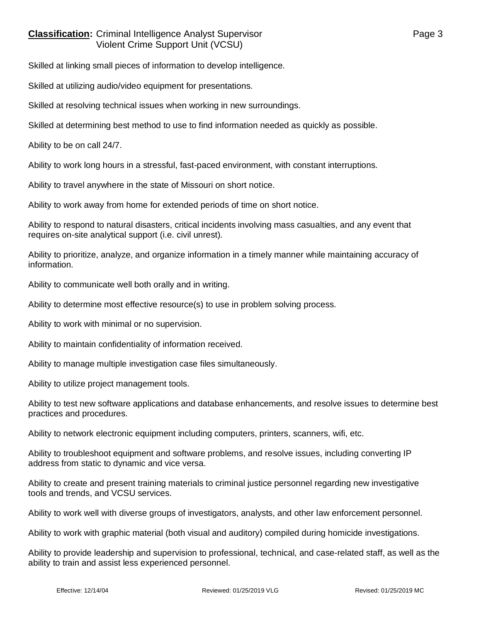## **Classification:** Criminal Intelligence Analyst Supervisor **Page 3** Page 3 Violent Crime Support Unit (VCSU)

Skilled at linking small pieces of information to develop intelligence.

Skilled at utilizing audio/video equipment for presentations.

Skilled at resolving technical issues when working in new surroundings.

Skilled at determining best method to use to find information needed as quickly as possible.

Ability to be on call 24/7.

Ability to work long hours in a stressful, fast-paced environment, with constant interruptions.

Ability to travel anywhere in the state of Missouri on short notice.

Ability to work away from home for extended periods of time on short notice.

Ability to respond to natural disasters, critical incidents involving mass casualties, and any event that requires on-site analytical support (i.e. civil unrest).

Ability to prioritize, analyze, and organize information in a timely manner while maintaining accuracy of information.

Ability to communicate well both orally and in writing.

Ability to determine most effective resource(s) to use in problem solving process.

Ability to work with minimal or no supervision.

Ability to maintain confidentiality of information received.

Ability to manage multiple investigation case files simultaneously.

Ability to utilize project management tools.

Ability to test new software applications and database enhancements, and resolve issues to determine best practices and procedures.

Ability to network electronic equipment including computers, printers, scanners, wifi, etc.

Ability to troubleshoot equipment and software problems, and resolve issues, including converting IP address from static to dynamic and vice versa.

Ability to create and present training materials to criminal justice personnel regarding new investigative tools and trends, and VCSU services.

Ability to work well with diverse groups of investigators, analysts, and other law enforcement personnel.

Ability to work with graphic material (both visual and auditory) compiled during homicide investigations.

Ability to provide leadership and supervision to professional, technical, and case-related staff, as well as the ability to train and assist less experienced personnel.